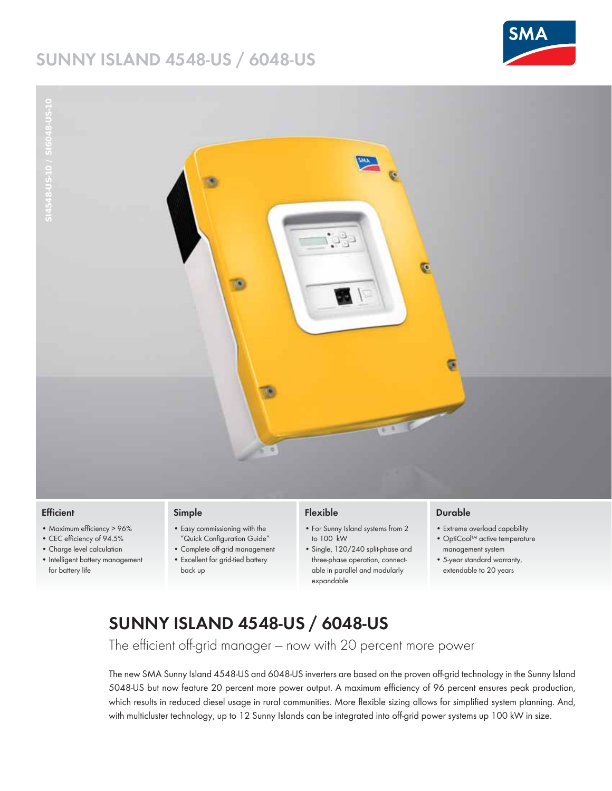## **SUNNY ISLAND 4548-US / 6048-US**



**SI4548-US-10 / SI6048-US-10**



#### **Efficient**

- Maximum efficiency > 96%
- CEC efficiency of 94.5%
- Charge level calculation
- Intelligent battery management for battery life

### **Simple**

- Easy commissioning with the
- "Quick Configuration Guide"
- Complete off-grid management • Excellent for grid-tied battery
- back up

#### **Flexible**

- For Sunny Island systems from 2 to 100 kW
- Single, 120/240 split-phase and three-phase operation, connectable in parallel and modularly expandable

#### **Durable**

- Extreme overload capability
- OptiCool™ active temperature
- management system • 5-year standard warranty,
- extendable to 20 years

# **SUNNY ISLAND 4548-US / 6048-US**

The efficient off-grid manager - now with 20 percent more power

The new SMA Sunny Island 4548-US and 6048-US inverters are based on the proven off-grid technology in the Sunny Island 5048-US but now feature 20 percent more power output. A maximum efficiency of 96 percent ensures peak production, which results in reduced diesel usage in rural communities. More flexible sizing allows for simplified system planning. And, with multicluster technology, up to 12 Sunny Islands can be integrated into off-grid power systems up 100 kW in size.